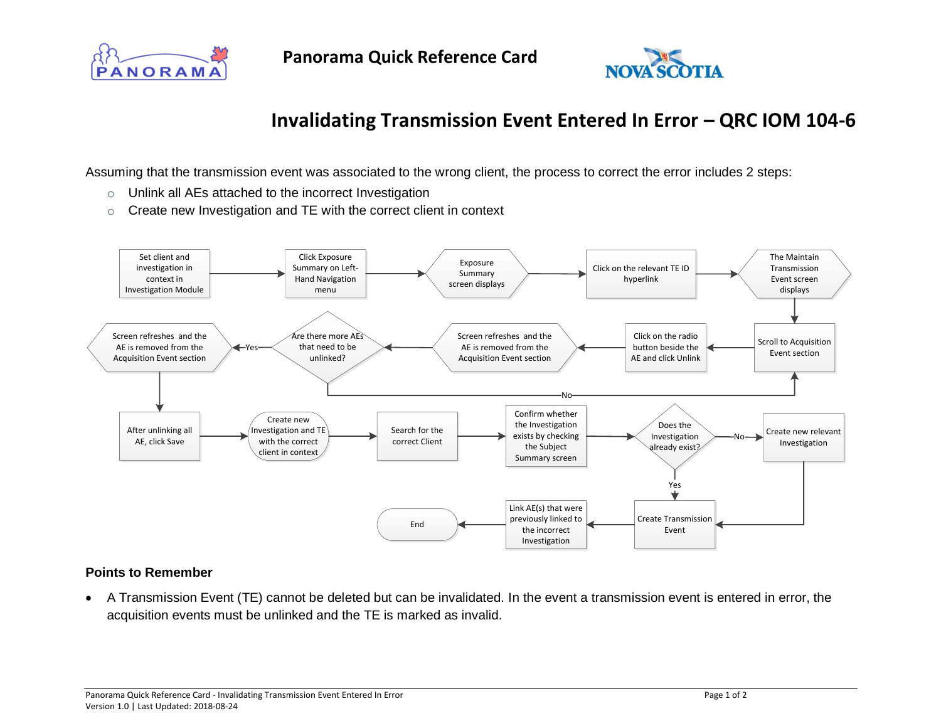



## **Invalidating Transmission Event Entered In Error – QRC IOM 104-6**

Assuming that the transmission event was associated to the wrong client, the process to correct the error includes 2 steps:

- o Unlink all AEs attached to the incorrect Investigation
- $\circ$  Create new Investigation and TE with the correct client in context



## **Points to Remember**

• A Transmission Event (TE) cannot be deleted but can be invalidated. In the event a transmission event is entered in error, the acquisition events must be unlinked and the TE is marked as invalid.